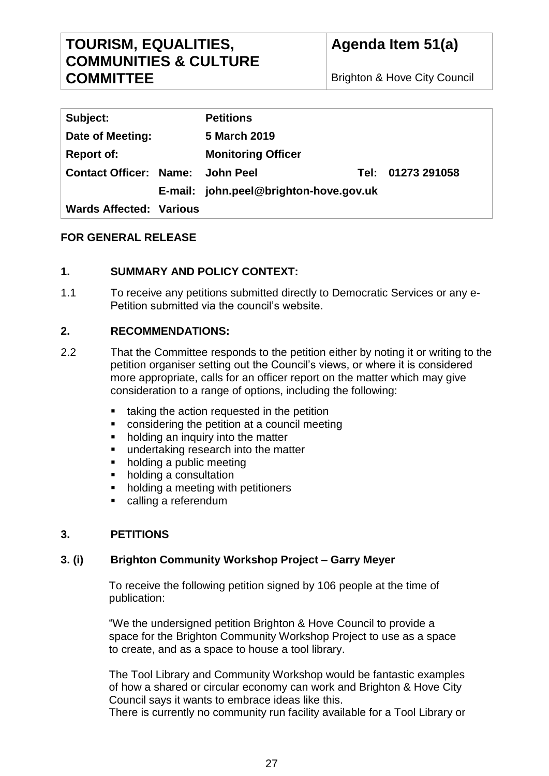# **TOURISM, EQUALITIES, COMMUNITIES & CULTURE COMMITTEE**

Brighton & Hove City Council

| Subject:                                | <b>Petitions</b>                       |  |                   |
|-----------------------------------------|----------------------------------------|--|-------------------|
| Date of Meeting:                        | 5 March 2019                           |  |                   |
| <b>Report of:</b>                       | <b>Monitoring Officer</b>              |  |                   |
| <b>Contact Officer: Name: John Peel</b> |                                        |  | Tel: 01273 291058 |
|                                         | E-mail: john.peel@brighton-hove.gov.uk |  |                   |
| <b>Wards Affected: Various</b>          |                                        |  |                   |

## **FOR GENERAL RELEASE**

## **1. SUMMARY AND POLICY CONTEXT:**

1.1 To receive any petitions submitted directly to Democratic Services or any e-Petition submitted via the council's website.

## **2. RECOMMENDATIONS:**

- 2.2 That the Committee responds to the petition either by noting it or writing to the petition organiser setting out the Council's views, or where it is considered more appropriate, calls for an officer report on the matter which may give consideration to a range of options, including the following:
	- taking the action requested in the petition
	- considering the petition at a council meeting
	- holding an inquiry into the matter
	- undertaking research into the matter
	- holding a public meeting
	- holding a consultation
	- holding a meeting with petitioners
	- calling a referendum

## **3. PETITIONS**

## **3. (i) Brighton Community Workshop Project – Garry Meyer**

To receive the following petition signed by 106 people at the time of publication:

"We the undersigned petition Brighton & Hove Council to provide a space for the Brighton Community Workshop Project to use as a space to create, and as a space to house a tool library.

The Tool Library and Community Workshop would be fantastic examples of how a shared or circular economy can work and Brighton & Hove City Council says it wants to embrace ideas like this.

There is currently no community run facility available for a Tool Library or